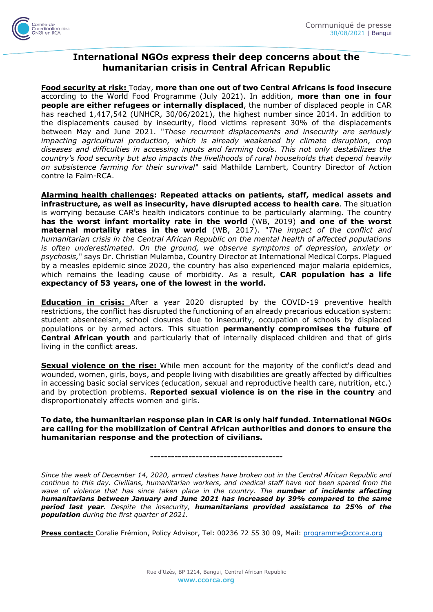

## **International NGOs express their deep concerns about the humanitarian crisis in Central African Republic**

**Food security at risk:** Today, **more than one out of two Central Africans is food insecure**  according to the World Food Programme (July 2021). In addition, **more than one in four people are either refugees or internally displaced**, the number of displaced people in CAR has reached 1,417,542 (UNHCR, 30/06/2021), the highest number since 2014. In addition to the displacements caused by insecurity, flood victims represent 30% of the displacements between May and June 2021. "*These recurrent displacements and insecurity are seriously impacting agricultural production, which is already weakened by climate disruption, crop diseases and difficulties in accessing inputs and farming tools. This not only destabilizes the country's food security but also impacts the livelihoods of rural households that depend heavily on subsistence farming for their survival*" said Mathilde Lambert, Country Director of Action contre la Faim-RCA.

**Alarming health challenges: Repeated attacks on patients, staff, medical assets and infrastructure, as well as insecurity, have disrupted access to health care**. The situation is worrying because CAR's health indicators continue to be particularly alarming. The country **has the worst infant mortality rate in the world** (WB, 2019) **and one of the worst maternal mortality rates in the world** (WB, 2017). "*The impact of the conflict and humanitarian crisis in the Central African Republic on the mental health of affected populations is often underestimated. On the ground, we observe symptoms of depression, anxiety or psychosis,*" says Dr. Christian Mulamba, Country Director at International Medical Corps. Plagued by a measles epidemic since 2020, the country has also experienced major malaria epidemics, which remains the leading cause of morbidity. As a result, **CAR population has a life expectancy of 53 years, one of the lowest in the world.**

**Education in crisis:** After a year 2020 disrupted by the COVID-19 preventive health restrictions, the conflict has disrupted the functioning of an already precarious education system: student absenteeism, school closures due to insecurity, occupation of schools by displaced populations or by armed actors. This situation **permanently compromises the future of Central African youth** and particularly that of internally displaced children and that of girls living in the conflict areas.

**Sexual violence on the rise:** While men account for the majority of the conflict's dead and wounded, women, girls, boys, and people living with disabilities are greatly affected by difficulties in accessing basic social services (education, sexual and reproductive health care, nutrition, etc.) and by protection problems. **Reported sexual violence is on the rise in the country** and disproportionately affects women and girls.

**To date, the humanitarian response plan in CAR is only half funded. International NGOs are calling for the mobilization of Central African authorities and donors to ensure the humanitarian response and the protection of civilians.**

**--------------------------------------**

*Since the week of December 14, 2020, armed clashes have broken out in the Central African Republic and continue to this day. Civilians, humanitarian workers, and medical staff have not been spared from the wave of violence that has since taken place in the country. The number of incidents affecting humanitarians between January and June 2021 has increased by 39% compared to the same period last year. Despite the insecurity, humanitarians provided assistance to 25% of the population during the first quarter of 2021.*

**Press contact:** Coralie Frémion, Policy Advisor, Tel: 00236 72 55 30 09, Mail: [programme@ccorca.org](mailto:programme@ccorca.org)